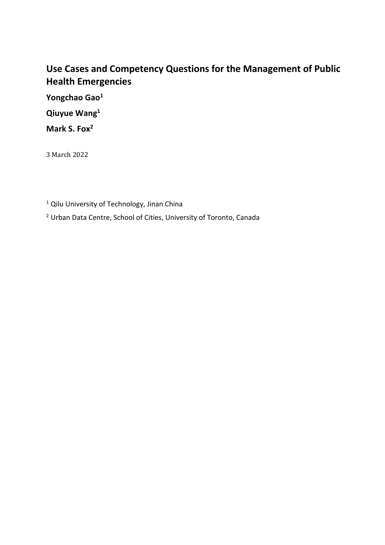# **Use Cases and Competency Questions for the Management of Public Health Emergencies**

**Yongchao Gao1**

**Qiuyue Wang1**

**Mark S. Fox2**

3 March 2022

<sup>1</sup> Qilu University of Technology, Jinan China

<sup>2</sup> Urban Data Centre, School of Cities, University of Toronto, Canada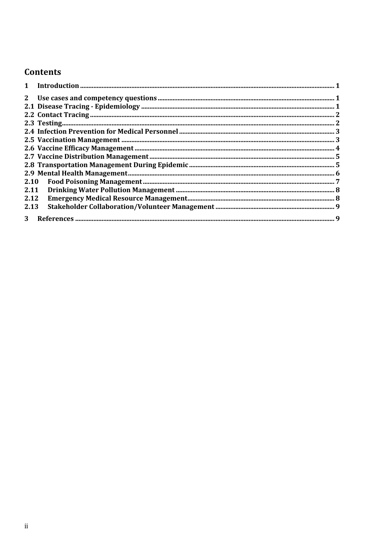# Contents

| 2.11 |  |
|------|--|
| 2.12 |  |
| 2.13 |  |
|      |  |
|      |  |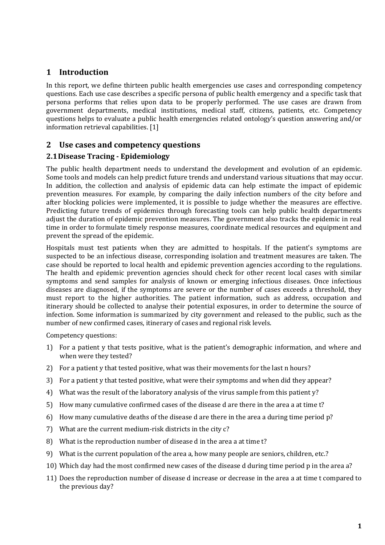# **1 Introduction**

In this report, we define thirteen public health emergencies use cases and corresponding competency questions. Each use case describes a specific persona of public health emergency and a specific task that persona performs that relies upon data to be properly performed. The use cases are drawn from government departments, medical institutions, medical staff, citizens, patients, etc. Competency questions helps to evaluate a public health emergencies related ontology's question answering and/or information retrieval capabilities. [1]

## **2 Use cases and competency questions**

## **2.1Disease Tracing - Epidemiology**

The public health department needs to understand the development and evolution of an epidemic. Some tools and models can help predict future trends and understand various situations that may occur. In addition, the collection and analysis of epidemic data can help estimate the impact of epidemic prevention measures. For example, by comparing the daily infection numbers of the city before and after blocking policies were implemented, it is possible to judge whether the measures are effective. Predicting future trends of epidemics through forecasting tools can help public health departments adjust the duration of epidemic prevention measures. The government also tracks the epidemic in real time in order to formulate timely response measures, coordinate medical resources and equipment and prevent the spread of the epidemic.

Hospitals must test patients when they are admitted to hospitals. If the patient's symptoms are suspected to be an infectious disease, corresponding isolation and treatment measures are taken. The case should be reported to local health and epidemic prevention agencies according to the regulations. The health and epidemic prevention agencies should check for other recent local cases with similar symptoms and send samples for analysis of known or emerging infectious diseases. Once infectious diseases are diagnosed, if the symptoms are severe or the number of cases exceeds a threshold, they must report to the higher authorities. The patient information, such as address, occupation and itinerary should be collected to analyse their potential exposures, in order to determine the source of infection. Some information is summarized by city government and released to the public, such as the number of new confirmed cases, itinerary of cases and regional risk levels.

Competency questions:

- 1) For a patient y that tests positive, what is the patient's demographic information, and where and when were they tested?
- 2) For a patient v that tested positive, what was their movements for the last n hours?
- 3) For a patient v that tested positive, what were their symptoms and when did they appear?
- 4) What was the result of the laboratory analysis of the virus sample from this patient y?
- 5) How many cumulative confirmed cases of the disease d are there in the area a at time t?
- 6) How many cumulative deaths of the disease d are there in the area a during time period p?
- 7) What are the current medium-risk districts in the city  $c$ ?
- 8) What is the reproduction number of disease d in the area a at time t?
- 9) What is the current population of the area a, how many people are seniors, children, etc.?
- 10) Which day had the most confirmed new cases of the disease d during time period p in the area a?
- 11) Does the reproduction number of disease d increase or decrease in the area a at time t compared to the previous day?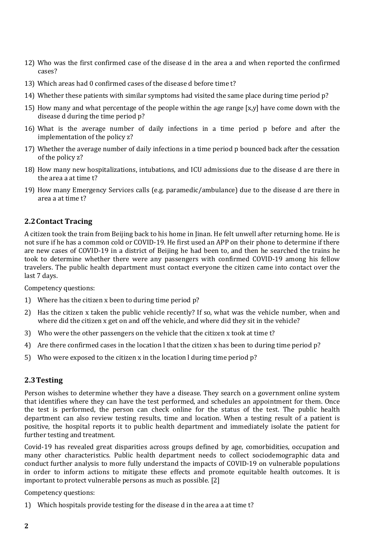- 12) Who was the first confirmed case of the disease d in the area a and when reported the confirmed cases?
- 13) Which areas had 0 confirmed cases of the disease d before time t?
- 14) Whether these patients with similar symptoms had visited the same place during time period p?
- 15) How many and what percentage of the people within the age range  $[x,y]$  have come down with the disease d during the time period p?
- 16) What is the average number of daily infections in a time period p before and after the implementation of the policy z?
- 17) Whether the average number of daily infections in a time period p bounced back after the cessation of the policy z?
- 18) How many new hospitalizations, intubations, and ICU admissions due to the disease d are there in the area a at time t?
- 19) How many Emergency Services calls (e.g. paramedic/ambulance) due to the disease d are there in area a at time t?

#### **2.2Contact Tracing**

A citizen took the train from Beijing back to his home in Jinan. He felt unwell after returning home. He is not sure if he has a common cold or COVID-19. He first used an APP on their phone to determine if there are new cases of COVID-19 in a district of Beijing he had been to, and then he searched the trains he took to determine whether there were any passengers with confirmed COVID-19 among his fellow travelers. The public health department must contact everyone the citizen came into contact over the last 7 days.

Competency questions:

- 1) Where has the citizen x been to during time period p?
- 2) Has the citizen x taken the public vehicle recently? If so, what was the vehicle number, when and where did the citizen x get on and off the vehicle, and where did they sit in the vehicle?
- 3) Who were the other passengers on the vehicle that the citizen x took at time t?
- 4) Are there confirmed cases in the location I that the citizen x has been to during time period p?
- 5) Who were exposed to the citizen x in the location  $l$  during time period  $p$ ?

#### **2.3Testing**

Person wishes to determine whether they have a disease. They search on a government online system that identifies where they can have the test performed, and schedules an appointment for them. Once the test is performed, the person can check online for the status of the test. The public health department can also review testing results, time and location. When a testing result of a patient is positive, the hospital reports it to public health department and immediately isolate the patient for further testing and treatment.

Covid-19 has revealed great disparities across groups defined by age, comorbidities, occupation and many other characteristics. Public health department needs to collect sociodemographic data and conduct further analysis to more fully understand the impacts of COVID-19 on vulnerable populations in order to inform actions to mitigate these effects and promote equitable health outcomes. It is important to protect vulnerable persons as much as possible.  $[2]$ 

Competency questions:

1) Which hospitals provide testing for the disease d in the area a at time t?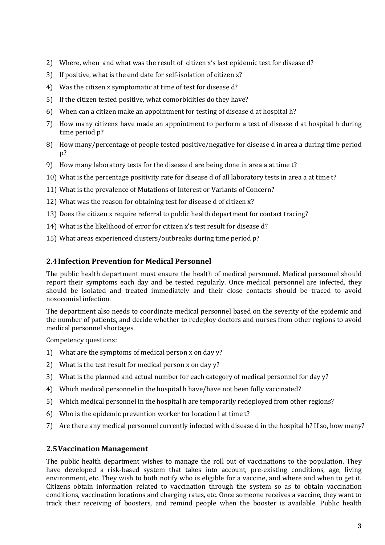- 2) Where, when and what was the result of citizen x's last epidemic test for disease d?
- 3) If positive, what is the end date for self-isolation of citizen x?
- 4) Was the citizen x symptomatic at time of test for disease d?
- 5) If the citizen tested positive, what comorbidities do they have?
- 6) When can a citizen make an appointment for testing of disease d at hospital  $h$ ?
- 7) How many citizens have made an appointment to perform a test of disease d at hospital h during time period p?
- 8) How many/percentage of people tested positive/negative for disease d in area a during time period  $p$ ?
- 9) How many laboratory tests for the disease d are being done in area a at time t?
- 10) What is the percentage positivity rate for disease d of all laboratory tests in area a at time t?
- 11) What is the prevalence of Mutations of Interest or Variants of Concern?
- 12) What was the reason for obtaining test for disease d of citizen x?
- 13) Does the citizen x require referral to public health department for contact tracing?
- 14) What is the likelihood of error for citizen x's test result for disease d?
- 15) What areas experienced clusters/outbreaks during time period p?

## **2.4Infection Prevention for Medical Personnel**

The public health department must ensure the health of medical personnel. Medical personnel should report their symptoms each day and be tested regularly. Once medical personnel are infected, they should be isolated and treated immediately and their close contacts should be traced to avoid nosocomial infection.

The department also needs to coordinate medical personnel based on the severity of the epidemic and the number of patients, and decide whether to redeploy doctors and nurses from other regions to avoid medical personnel shortages.

Competency questions:

- 1) What are the symptoms of medical person x on day  $y$ ?
- 2) What is the test result for medical person x on day  $y$ ?
- 3) What is the planned and actual number for each category of medical personnel for day y?
- 4) Which medical personnel in the hospital h have/have not been fully vaccinated?
- 5) Which medical personnel in the hospital h are temporarily redeployed from other regions?
- 6) Who is the epidemic prevention worker for location  $l$  at time  $t$ ?
- 7) Are there any medical personnel currently infected with disease d in the hospital h? If so, how many?

## **2.5Vaccination Management**

The public health department wishes to manage the roll out of vaccinations to the population. They have developed a risk-based system that takes into account, pre-existing conditions, age, living environment, etc. They wish to both notify who is eligible for a vaccine, and where and when to get it. Citizens obtain information related to vaccination through the system so as to obtain vaccination conditions, vaccination locations and charging rates, etc. Once someone receives a vaccine, they want to track their receiving of boosters, and remind people when the booster is available. Public health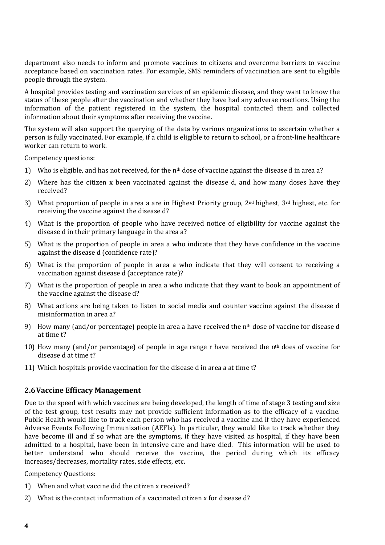department also needs to inform and promote vaccines to citizens and overcome barriers to vaccine acceptance based on vaccination rates. For example, SMS reminders of vaccination are sent to eligible people through the system.

A hospital provides testing and vaccination services of an epidemic disease, and they want to know the status of these people after the vaccination and whether they have had any adverse reactions. Using the information of the patient registered in the system, the hospital contacted them and collected information about their symptoms after receiving the vaccine.

The system will also support the querying of the data by various organizations to ascertain whether a person is fully vaccinated. For example, if a child is eligible to return to school, or a front-line healthcare worker can return to work.

Competency questions:

- 1) Who is eligible, and has not received, for the n<sup>th</sup> dose of vaccine against the disease d in area a?
- 2) Where has the citizen x been vaccinated against the disease d, and how many doses have they received?
- 3) What proportion of people in area a are in Highest Priority group,  $2^{nd}$  highest,  $3^{rd}$  highest, etc. for receiving the vaccine against the disease d?
- 4) What is the proportion of people who have received notice of eligibility for vaccine against the disease d in their primary language in the area a?
- 5) What is the proportion of people in area a who indicate that they have confidence in the vaccine against the disease d (confidence rate)?
- 6) What is the proportion of people in area a who indicate that they will consent to receiving a vaccination against disease d (acceptance rate)?
- 7) What is the proportion of people in area a who indicate that they want to book an appointment of the vaccine against the disease d?
- 8) What actions are being taken to listen to social media and counter vaccine against the disease d misinformation in area a?
- 9) How many (and/or percentage) people in area a have received the  $n<sup>th</sup>$  dose of vaccine for disease d at time t?
- 10) How many (and/or percentage) of people in age range r have received the  $n<sup>th</sup>$  does of vaccine for disease d at time t?
- 11) Which hospitals provide vaccination for the disease d in area a at time t?

#### **2.6Vaccine Efficacy Management**

Due to the speed with which vaccines are being developed, the length of time of stage 3 testing and size of the test group, test results may not provide sufficient information as to the efficacy of a vaccine. Public Health would like to track each person who has received a vaccine and if they have experienced Adverse Events Following Immunization (AEFIs). In particular, they would like to track whether they have become ill and if so what are the symptoms, if they have visited as hospital, if they have been admitted to a hospital, have been in intensive care and have died. This information will be used to better understand who should receive the vaccine, the period during which its efficacy increases/decreases, mortality rates, side effects, etc.

Competency Questions:

- 1) When and what vaccine did the citizen x received?
- 2) What is the contact information of a vaccinated citizen x for disease d?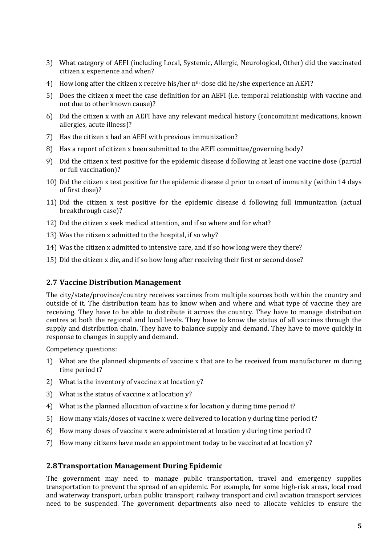- 3) What category of AEFI (including Local, Systemic, Allergic, Neurological, Other) did the vaccinated citizen x experience and when?
- 4) How long after the citizen x receive his/her  $n<sup>th</sup>$  dose did he/she experience an AEFI?
- 5) Does the citizen x meet the case definition for an AEFI (i.e. temporal relationship with vaccine and not due to other known cause)?
- 6) Did the citizen x with an AEFI have any relevant medical history (concomitant medications, known allergies, acute illness)?
- 7) Has the citizen x had an AEFI with previous immunization?
- 8) Has a report of citizen x been submitted to the AEFI committee/governing body?
- 9) Did the citizen x test positive for the epidemic disease d following at least one vaccine dose (partial or full vaccination)?
- 10) Did the citizen x test positive for the epidemic disease d prior to onset of immunity (within 14 days of first dose)?
- 11) Did the citizen x test positive for the epidemic disease d following full immunization (actual breakthrough case)?
- 12) Did the citizen x seek medical attention, and if so where and for what?
- 13) Was the citizen x admitted to the hospital, if so why?
- 14) Was the citizen x admitted to intensive care, and if so how long were they there?
- 15) Did the citizen x die, and if so how long after receiving their first or second dose?

#### **2.7 Vaccine Distribution Management**

The city/state/province/country receives vaccines from multiple sources both within the country and outside of it. The distribution team has to know when and where and what type of vaccine they are receiving. They have to be able to distribute it across the country. They have to manage distribution centres at both the regional and local levels. They have to know the status of all vaccines through the supply and distribution chain. They have to balance supply and demand. They have to move quickly in response to changes in supply and demand.

Competency questions:

- 1) What are the planned shipments of vaccine x that are to be received from manufacturer m during time period t?
- 2) What is the inventory of vaccine x at location  $y$ ?
- 3) What is the status of vaccine  $x$  at location  $y$ ?
- 4) What is the planned allocation of vaccine x for location y during time period t?
- 5) How many vials/doses of vaccine x were delivered to location y during time period t?
- 6) How many doses of vaccine x were administered at location y during time period  $t$ ?
- 7) How many citizens have made an appointment today to be vaccinated at location y?

#### **2.8Transportation Management During Epidemic**

The government may need to manage public transportation, travel and emergency supplies transportation to prevent the spread of an epidemic. For example, for some high-risk areas, local road and waterway transport, urban public transport, railway transport and civil aviation transport services need to be suspended. The government departments also need to allocate vehicles to ensure the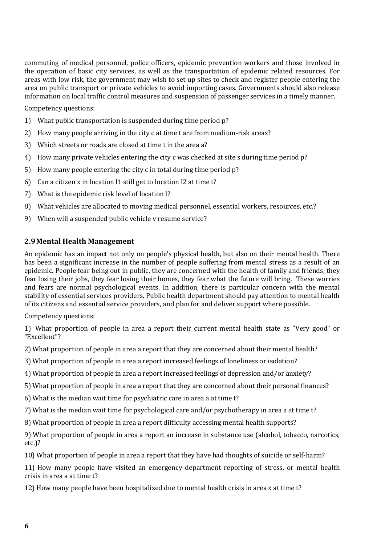commuting of medical personnel, police officers, epidemic prevention workers and those involved in the operation of basic city services, as well as the transportation of epidemic related resources. For areas with low risk, the government may wish to set up sites to check and register people entering the area on public transport or private vehicles to avoid importing cases. Governments should also release information on local traffic control measures and suspension of passenger services in a timely manner.

Competency questions:

- 1) What public transportation is suspended during time period p?
- 2) How many people arriving in the city c at time t are from medium-risk areas?
- 3) Which streets or roads are closed at time t in the area a?
- 4) How many private vehicles entering the city c was checked at site s during time period p?
- 5) How many people entering the city c in total during time period  $p$ ?
- 6) Can a citizen x in location  $11$  still get to location  $12$  at time t?
- 7) What is the epidemic risk level of location I?
- 8) What vehicles are allocated to moving medical personnel, essential workers, resources, etc.?
- 9) When will a suspended public vehicle v resume service?

#### **2.9Mental Health Management**

An epidemic has an impact not only on people's physical health, but also on their mental health. There has been a significant increase in the number of people suffering from mental stress as a result of an epidemic. People fear being out in public, they are concerned with the health of family and friends, they fear losing their jobs, they fear losing their homes, they fear what the future will bring. These worries and fears are normal psychological events. In addition, there is particular concern with the mental stability of essential services providers. Public health department should pay attention to mental health of its citizens and essential service providers, and plan for and deliver support where possible.

Competency questions:

1) What proportion of people in area a report their current mental health state as "Very good" or "Excellent"?

2) What proportion of people in area a report that they are concerned about their mental health?

- 3) What proportion of people in area a report increased feelings of loneliness or isolation?
- 4) What proportion of people in area a report increased feelings of depression and/or anxiety?
- 5) What proportion of people in area a report that they are concerned about their personal finances?
- 6) What is the median wait time for psychiatric care in area a at time  $t$ ?

7) What is the median wait time for psychological care and/or psychotherapy in area a at time t?

8) What proportion of people in area a report difficulty accessing mental health supports?

9) What proportion of people in area a report an increase in substance use (alcohol, tobacco, narcotics, etc.)?

10) What proportion of people in area a report that they have had thoughts of suicide or self-harm?

11) How many people have visited an emergency department reporting of stress, or mental health crisis in area a at time t?

12) How many people have been hospitalized due to mental health crisis in area x at time t?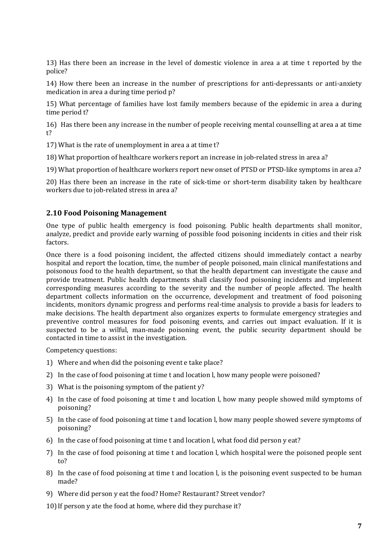13) Has there been an increase in the level of domestic violence in area a at time t reported by the police?

14) How there been an increase in the number of prescriptions for anti-depressants or anti-anxiety medication in area a during time period p?

15) What percentage of families have lost family members because of the epidemic in area a during time period t?

16) Has there been any increase in the number of people receiving mental counselling at area a at time t?

17) What is the rate of unemployment in area a at time t?

18) What proportion of healthcare workers report an increase in job-related stress in area a?

19) What proportion of healthcare workers report new onset of PTSD or PTSD-like symptoms in area a?

20) Has there been an increase in the rate of sick-time or short-term disability taken by healthcare workers due to job-related stress in area a?

#### **2.10 Food Poisoning Management**

One type of public health emergency is food poisoning. Public health departments shall monitor, analyze, predict and provide early warning of possible food poisoning incidents in cities and their risk factors. 

Once there is a food poisoning incident, the affected citizens should immediately contact a nearby hospital and report the location, time, the number of people poisoned, main clinical manifestations and poisonous food to the health department, so that the health department can investigate the cause and provide treatment. Public health departments shall classify food poisoning incidents and implement corresponding measures according to the severity and the number of people affected. The health department collects information on the occurrence, development and treatment of food poisoning incidents, monitors dynamic progress and performs real-time analysis to provide a basis for leaders to make decisions. The health department also organizes experts to formulate emergency strategies and preventive control measures for food poisoning events, and carries out impact evaluation. If it is suspected to be a wilful, man-made poisoning event, the public security department should be contacted in time to assist in the investigation.

Competency questions:

- 1) Where and when did the poisoning event e take place?
- 2) In the case of food poisoning at time t and location l, how many people were poisoned?
- 3) What is the poisoning symptom of the patient  $y$ ?
- 4) In the case of food poisoning at time t and location l, how many people showed mild symptoms of poisoning?
- 5) In the case of food poisoning at time t and location l, how many people showed severe symptoms of poisoning?
- 6) In the case of food poisoning at time t and location  $l$ , what food did person  $y$  eat?
- 7) In the case of food poisoning at time t and location l, which hospital were the poisoned people sent to?
- 8) In the case of food poisoning at time t and location l, is the poisoning event suspected to be human made?
- 9) Where did person y eat the food? Home? Restaurant? Street vendor?
- 10) If person  $y$  ate the food at home, where did they purchase it?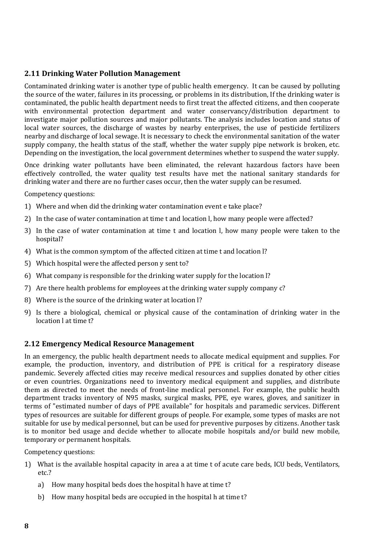#### **2.11 Drinking Water Pollution Management**

Contaminated drinking water is another type of public health emergency. It can be caused by polluting the source of the water, failures in its processing, or problems in its distribution, If the drinking water is contaminated, the public health department needs to first treat the affected citizens, and then cooperate with environmental protection department and water conservancy/distribution department to investigate major pollution sources and major pollutants. The analysis includes location and status of local water sources, the discharge of wastes by nearby enterprises, the use of pesticide fertilizers nearby and discharge of local sewage. It is necessary to check the environmental sanitation of the water supply company, the health status of the staff, whether the water supply pipe network is broken, etc. Depending on the investigation, the local government determines whether to suspend the water supply.

Once drinking water pollutants have been eliminated, the relevant hazardous factors have been effectively controlled, the water quality test results have met the national sanitary standards for drinking water and there are no further cases occur, then the water supply can be resumed.

Competency questions:

- 1) Where and when did the drinking water contamination event e take place?
- 2) In the case of water contamination at time t and location l, how many people were affected?
- 3) In the case of water contamination at time t and location  $l$ , how many people were taken to the hospital?
- 4) What is the common symptom of the affected citizen at time t and location I?
- 5) Which hospital were the affected person y sent to?
- 6) What company is responsible for the drinking water supply for the location  $\overline{a}$ ?
- 7) Are there health problems for employees at the drinking water supply company c?
- 8) Where is the source of the drinking water at location l?
- 9) Is there a biological, chemical or physical cause of the contamination of drinking water in the location l at time t?

#### **2.12 Emergency Medical Resource Management**

In an emergency, the public health department needs to allocate medical equipment and supplies. For example, the production, inventory, and distribution of PPE is critical for a respiratory disease pandemic. Severely affected cities may receive medical resources and supplies donated by other cities or even countries. Organizations need to inventory medical equipment and supplies, and distribute them as directed to meet the needs of front-line medical personnel. For example, the public health department tracks inventory of N95 masks, surgical masks, PPE, eye wares, gloves, and sanitizer in terms of "estimated number of days of PPE available" for hospitals and paramedic services. Different types of resources are suitable for different groups of people. For example, some types of masks are not suitable for use by medical personnel, but can be used for preventive purposes by citizens. Another task is to monitor bed usage and decide whether to allocate mobile hospitals and/or build new mobile, temporary or permanent hospitals.

Competency questions:

- 1) What is the available hospital capacity in area a at time t of acute care beds, ICU beds, Ventilators, etc.?
	- a) How many hospital beds does the hospital h have at time t?
	- b) How many hospital beds are occupied in the hospital h at time t?